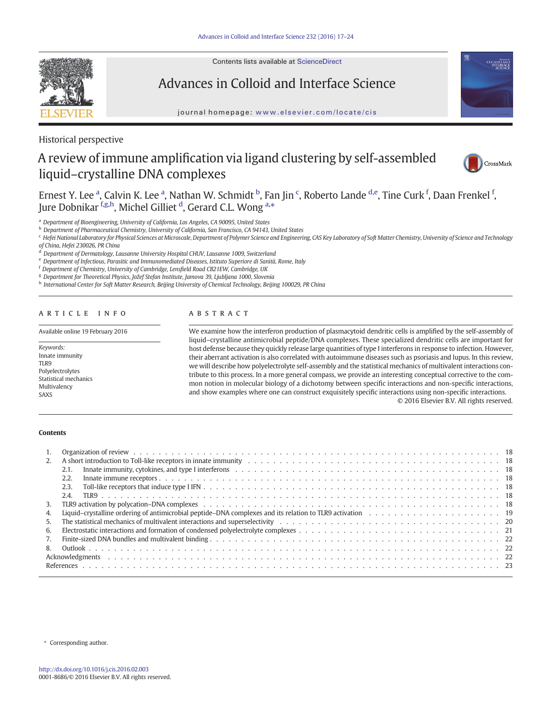

Contents lists available at ScienceDirect

# Advances in Colloid and Interface Science

journal homepage: <www.elsevier.com/locate/cis>

Historical perspective

# A review of immune amplification via ligand clustering by self-assembled liquid–crystalline DNA complexes



Ernest Y. Lee <sup>a</sup>, Calvin K. Lee <sup>a</sup>, Nathan W. Schmidt <sup>b</sup>, Fan Jin <sup>c</sup>, Roberto Lande <sup>d,e</sup>, Tine Curk <sup>f</sup>, Daan Frenkel <sup>f</sup>, Jure Dobnikar <sup>f,g,h</sup>, Michel Gilliet <sup>d</sup>, Gerard C.L. Wong <sup>a,</sup>\*

a Department of Bioengineering, University of California, Los Angeles, CA 90095, United States

**b** Department of Pharmaceutical Chemistry, University of California, San Francisco, CA 94143, United States

<sup>c</sup> Hefei National Laboratory for Physical Sciences at Microscale, Department of Polymer Science and Engineering, CAS Key Laboratory of Soft Matter Chemistry, University of Science and Technology

of China, Hefei 230026, PR China

<sup>d</sup> Department of Dermatology, Lausanne University Hospital CHUV, Lausanne 1009, Switzerland

<sup>e</sup> Department of Infectious, Parasitic and Immunomediated Diseases, Istituto Superiore di Sanità, Rome, Italy

<sup>f</sup> Department of Chemistry, University of Cambridge, Lensfield Road CB21EW, Cambridge, UK

<sup>g</sup> Department for Theoretical Physics, Jožef Stefan Institute, Jamova 39, Ljubljana 1000, Slovenia

h International Center for Soft Matter Research, Beijing University of Chemical Technology, Beijing 100029, PR China

ARTICLE INFO ABSTRACT

Keywords: Innate immunity TLR9 Polyelectrolytes Statistical mechanics Multivalency SAXS

Available online 19 February 2016 We examine how the interferon production of plasmacytoid dendritic cells is amplified by the self-assembly of liquid–crystalline antimicrobial peptide/DNA complexes. These specialized dendritic cells are important for host defense because they quickly release large quantities of type I interferons in response to infection. However, their aberrant activation is also correlated with autoimmune diseases such as psoriasis and lupus. In this review, we will describe how polyelectrolyte self-assembly and the statistical mechanics of multivalent interactions contribute to this process. In a more general compass, we provide an interesting conceptual corrective to the common notion in molecular biology of a dichotomy between specific interactions and non-specific interactions, and show examples where one can construct exquisitely specific interactions using non-specific interactions. © 2016 Elsevier B.V. All rights reserved.

#### **Contents**

| 1.<br>2 <sub>1</sub> | A short introduction to Toll-like receptors in innate immunity enters and service and service and service of the receptors in innate immunity enterstable and service and service and service and service and service and serv<br>2.1. |  |  |
|----------------------|----------------------------------------------------------------------------------------------------------------------------------------------------------------------------------------------------------------------------------------|--|--|
|                      | 2.2.                                                                                                                                                                                                                                   |  |  |
|                      | 2.3.                                                                                                                                                                                                                                   |  |  |
|                      | 2.4.                                                                                                                                                                                                                                   |  |  |
| 3.                   |                                                                                                                                                                                                                                        |  |  |
| 4.                   |                                                                                                                                                                                                                                        |  |  |
| 5.                   |                                                                                                                                                                                                                                        |  |  |
| 6.                   |                                                                                                                                                                                                                                        |  |  |
| 7.                   |                                                                                                                                                                                                                                        |  |  |
| 8.                   |                                                                                                                                                                                                                                        |  |  |
|                      |                                                                                                                                                                                                                                        |  |  |
|                      |                                                                                                                                                                                                                                        |  |  |
|                      |                                                                                                                                                                                                                                        |  |  |
|                      |                                                                                                                                                                                                                                        |  |  |
|                      |                                                                                                                                                                                                                                        |  |  |
|                      |                                                                                                                                                                                                                                        |  |  |
|                      |                                                                                                                                                                                                                                        |  |  |
|                      |                                                                                                                                                                                                                                        |  |  |
|                      |                                                                                                                                                                                                                                        |  |  |
|                      |                                                                                                                                                                                                                                        |  |  |
|                      | * Corresponding author.                                                                                                                                                                                                                |  |  |
|                      |                                                                                                                                                                                                                                        |  |  |
|                      |                                                                                                                                                                                                                                        |  |  |
|                      | http://dx.doi.org/10.1016/i.cis.2016.02.003                                                                                                                                                                                            |  |  |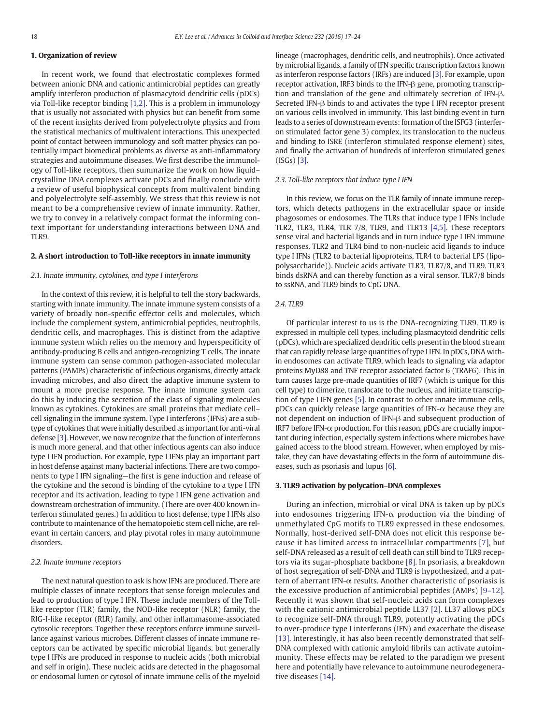# 1. Organization of review

In recent work, we found that electrostatic complexes formed between anionic DNA and cationic antimicrobial peptides can greatly amplify interferon production of plasmacytoid dendritic cells (pDCs) via Toll-like receptor binding [\[1,2\]](#page-6-0). This is a problem in immunology that is usually not associated with physics but can benefit from some of the recent insights derived from polyelectrolyte physics and from the statistical mechanics of multivalent interactions. This unexpected point of contact between immunology and soft matter physics can potentially impact biomedical problems as diverse as anti-inflammatory strategies and autoimmune diseases. We first describe the immunology of Toll-like receptors, then summarize the work on how liquid– crystalline DNA complexes activate pDCs and finally conclude with a review of useful biophysical concepts from multivalent binding and polyelectrolyte self-assembly. We stress that this review is not meant to be a comprehensive review of innate immunity. Rather, we try to convey in a relatively compact format the informing context important for understanding interactions between DNA and TLR9.

## 2. A short introduction to Toll-like receptors in innate immunity

## 2.1. Innate immunity, cytokines, and type I interferons

In the context of this review, it is helpful to tell the story backwards, starting with innate immunity. The innate immune system consists of a variety of broadly non-specific effector cells and molecules, which include the complement system, antimicrobial peptides, neutrophils, dendritic cells, and macrophages. This is distinct from the adaptive immune system which relies on the memory and hyperspecificity of antibody-producing B cells and antigen-recognizing T cells. The innate immune system can sense common pathogen-associated molecular patterns (PAMPs) characteristic of infectious organisms, directly attack invading microbes, and also direct the adaptive immune system to mount a more precise response. The innate immune system can do this by inducing the secretion of the class of signaling molecules known as cytokines. Cytokines are small proteins that mediate cell– cell signaling in the immune system. Type I interferons (IFNs) are a subtype of cytokines that were initially described as important for anti-viral defense [\[3\].](#page-6-0) However, we now recognize that the function of interferons is much more general, and that other infectious agents can also induce type I IFN production. For example, type I IFNs play an important part in host defense against many bacterial infections. There are two components to type I IFN signaling—the first is gene induction and release of the cytokine and the second is binding of the cytokine to a type I IFN receptor and its activation, leading to type I IFN gene activation and downstream orchestration of immunity. (There are over 400 known interferon stimulated genes.) In addition to host defense, type I IFNs also contribute to maintenance of the hematopoietic stem cell niche, are relevant in certain cancers, and play pivotal roles in many autoimmune disorders.

#### 2.2. Innate immune receptors

The next natural question to ask is how IFNs are produced. There are multiple classes of innate receptors that sense foreign molecules and lead to production of type I IFN. These include members of the Tolllike receptor (TLR) family, the NOD-like receptor (NLR) family, the RIG-I-like receptor (RLR) family, and other inflammasome-associated cytosolic receptors. Together these receptors enforce immune surveillance against various microbes. Different classes of innate immune receptors can be activated by specific microbial ligands, but generally type I IFNs are produced in response to nucleic acids (both microbial and self in origin). These nucleic acids are detected in the phagosomal or endosomal lumen or cytosol of innate immune cells of the myeloid lineage (macrophages, dendritic cells, and neutrophils). Once activated by microbial ligands, a family of IFN specific transcription factors known as interferon response factors (IRFs) are induced [\[3\].](#page-6-0) For example, upon receptor activation, IRF3 binds to the IFN-β gene, promoting transcription and translation of the gene and ultimately secretion of IFN-β. Secreted IFN-β binds to and activates the type I IFN receptor present on various cells involved in immunity. This last binding event in turn leads to a series of downstream events: formation of the ISFG3 (interferon stimulated factor gene 3) complex, its translocation to the nucleus and binding to ISRE (interferon stimulated response element) sites, and finally the activation of hundreds of interferon stimulated genes (ISGs) [\[3\].](#page-6-0)

# 2.3. Toll-like receptors that induce type I IFN

In this review, we focus on the TLR family of innate immune receptors, which detects pathogens in the extracellular space or inside phagosomes or endosomes. The TLRs that induce type I IFNs include TLR2, TLR3, TLR4, TLR 7/8, TLR9, and TLR13 [\[4,5\]](#page-6-0). These receptors sense viral and bacterial ligands and in turn induce type I IFN immune responses. TLR2 and TLR4 bind to non-nucleic acid ligands to induce type I IFNs (TLR2 to bacterial lipoproteins, TLR4 to bacterial LPS (lipopolysaccharide)). Nucleic acids activate TLR3, TLR7/8, and TLR9. TLR3 binds dsRNA and can thereby function as a viral sensor. TLR7/8 binds to ssRNA, and TLR9 binds to CpG DNA.

# 2.4. TLR9

Of particular interest to us is the DNA-recognizing TLR9. TLR9 is expressed in multiple cell types, including plasmacytoid dendritic cells (pDCs), which are specialized dendritic cells present in the blood stream that can rapidly release large quantities of type I IFN. In pDCs, DNA within endosomes can activate TLR9, which leads to signaling via adaptor proteins MyD88 and TNF receptor associated factor 6 (TRAF6). This in turn causes large pre-made quantities of IRF7 (which is unique for this cell type) to dimerize, translocate to the nucleus, and initiate transcription of type I IFN genes [\[5\]](#page-6-0). In contrast to other innate immune cells, pDCs can quickly release large quantities of IFN- $\alpha$  because they are not dependent on induction of IFN-β and subsequent production of IRF7 before IFN-α production. For this reason, pDCs are crucially important during infection, especially system infections where microbes have gained access to the blood stream. However, when employed by mistake, they can have devastating effects in the form of autoimmune diseases, such as psoriasis and lupus [\[6\]](#page-6-0).

### 3. TLR9 activation by polycation–DNA complexes

During an infection, microbial or viral DNA is taken up by pDCs into endosomes triggering IFN- $\alpha$  production via the binding of unmethylated CpG motifs to TLR9 expressed in these endosomes. Normally, host-derived self-DNA does not elicit this response because it has limited access to intracellular compartments [\[7\],](#page-6-0) but self-DNA released as a result of cell death can still bind to TLR9 receptors via its sugar-phosphate backbone [\[8\].](#page-6-0) In psoriasis, a breakdown of host segregation of self-DNA and TLR9 is hypothesized, and a pattern of aberrant IFN- $\alpha$  results. Another characteristic of psoriasis is the excessive production of antimicrobial peptides (AMPs) [9–[12\].](#page-6-0) Recently it was shown that self-nucleic acids can form complexes with the cationic antimicrobial peptide LL37 [\[2\].](#page-6-0) LL37 allows pDCs to recognize self-DNA through TLR9, potently activating the pDCs to over-produce type I interferons (IFN) and exacerbate the disease [\[13\].](#page-6-0) Interestingly, it has also been recently demonstrated that self-DNA complexed with cationic amyloid fibrils can activate autoimmunity. These effects may be related to the paradigm we present here and potentially have relevance to autoimmune neurodegenerative diseases [\[14\].](#page-6-0)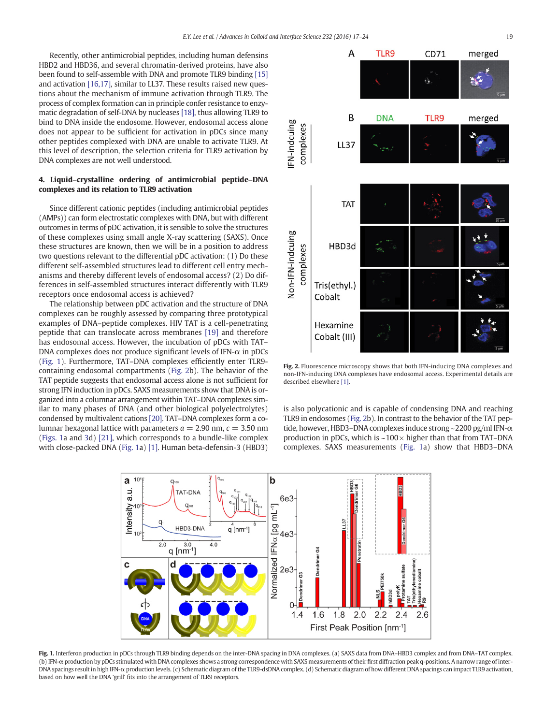<span id="page-2-0"></span>Recently, other antimicrobial peptides, including human defensins HBD2 and HBD36, and several chromatin-derived proteins, have also been found to self-assemble with DNA and promote TLR9 binding [\[15\]](#page-6-0) and activation [\[16,17\]](#page-6-0), similar to LL37. These results raised new questions about the mechanism of immune activation through TLR9. The process of complex formation can in principle confer resistance to enzymatic degradation of self-DNA by nucleases [\[18\],](#page-6-0) thus allowing TLR9 to bind to DNA inside the endosome. However, endosomal access alone does not appear to be sufficient for activation in pDCs since many other peptides complexed with DNA are unable to activate TLR9. At this level of description, the selection criteria for TLR9 activation by DNA complexes are not well understood.

# 4. Liquid–crystalline ordering of antimicrobial peptide–DNA complexes and its relation to TLR9 activation

Since different cationic peptides (including antimicrobial peptides (AMPs)) can form electrostatic complexes with DNA, but with different outcomes in terms of pDC activation, it is sensible to solve the structures of these complexes using small angle X-ray scattering (SAXS). Once these structures are known, then we will be in a position to address two questions relevant to the differential pDC activation: (1) Do these different self-assembled structures lead to different cell entry mechanisms and thereby different levels of endosomal access? (2) Do differences in self-assembled structures interact differently with TLR9 receptors once endosomal access is achieved?

The relationship between pDC activation and the structure of DNA complexes can be roughly assessed by comparing three prototypical examples of DNA–peptide complexes. HIV TAT is a cell-penetrating peptide that can translocate across membranes [\[19\]](#page-6-0) and therefore has endosomal access. However, the incubation of pDCs with TAT– DNA complexes does not produce significant levels of IFN- $\alpha$  in pDCs (Fig. 1). Furthermore, TAT–DNA complexes efficiently enter TLR9 containing endosomal compartments (Fig. 2b). The behavior of the TAT peptide suggests that endosomal access alone is not sufficient for strong IFN induction in pDCs. SAXS measurements show that DNA is organized into a columnar arrangement within TAT–DNA complexes similar to many phases of DNA (and other biological polyelectrolytes) condensed by multivalent cations [\[20\]](#page-6-0). TAT–DNA complexes form a columnar hexagonal lattice with parameters  $a = 2.90$  nm,  $c = 3.50$  nm (Figs. 1a and [3](#page-3-0)d) [\[21\]](#page-6-0), which corresponds to a bundle-like complex with close-packed DNA (Fig. 1a) [\[1\].](#page-6-0) Human beta-defensin-3 (HBD3)



Fig. 2. Fluorescence microscopy shows that both IFN-inducing DNA complexes and non-IFN-inducing DNA complexes have endosomal access. Experimental details are described elsewhere [\[1\].](#page-6-0)

is also polycationic and is capable of condensing DNA and reaching TLR9 in endosomes (Fig. 2b). In contrast to the behavior of the TAT peptide, however, HBD3–DNA complexes induce strong  $\sim$  2200 pg/ml IFN- $\alpha$ production in pDCs, which is  $\sim$  100 $\times$  higher than that from TAT–DNA complexes. SAXS measurements (Fig. 1a) show that HBD3–DNA



Fig. 1. Interferon production in pDCs through TLR9 binding depends on the inter-DNA spacing in DNA complexes. (a) SAXS data from DNA-HBD3 complex and from DNA-TAT complex. (b) IFN-α production by pDCs stimulated with DNA complexes shows a strong correspondence with SAXS measurements of their first diffraction peak q-positions. A narrow range of inter-DNA spacings result in high IFN-α production levels. (c) Schematic diagram of the TLR9-dsDNA complex. (d) Schematic diagram of how different DNA spacings can impact TLR9 activation, based on how well the DNA 'grill' fits into the arrangement of TLR9 receptors.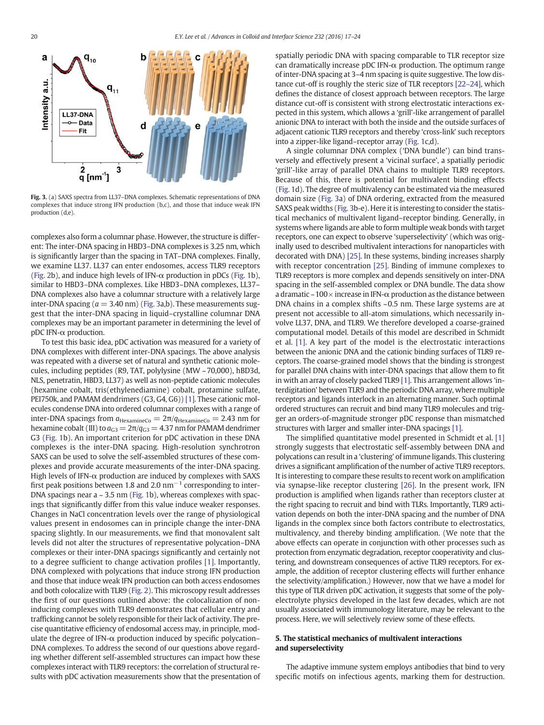<span id="page-3-0"></span>

Fig. 3. (a) SAXS spectra from LL37–DNA complexes. Schematic representations of DNA complexes that induce strong IFN production (b,c), and those that induce weak IFN production (d,e).

complexes also form a columnar phase. However, the structure is different: The inter-DNA spacing in HBD3–DNA complexes is 3.25 nm, which is significantly larger than the spacing in TAT–DNA complexes. Finally, we examine LL37. LL37 can enter endosomes, access TLR9 receptors [\(Fig. 2b](#page-2-0)), and induce high levels of IFN- $\alpha$  production in pDCs [\(Fig. 1](#page-2-0)b), similar to HBD3–DNA complexes. Like HBD3–DNA complexes, LL37– DNA complexes also have a columnar structure with a relatively large inter-DNA spacing ( $a = 3.40$  nm) (Fig. 3a,b). These measurements suggest that the inter-DNA spacing in liquid–crystalline columnar DNA complexes may be an important parameter in determining the level of pDC IFN-α production.

To test this basic idea, pDC activation was measured for a variety of DNA complexes with different inter-DNA spacings. The above analysis was repeated with a diverse set of natural and synthetic cationic molecules, including peptides (R9, TAT, polylysine (MW ~70,000), hBD3d, NLS, penetratin, HBD3, LL37) as well as non-peptide cationic molecules (hexamine cobalt, tris(ethylenediamine) cobalt, protamine sulfate, PEI750k, and PAMAM dendrimers (G3, G4, G6)) [\[1\].](#page-6-0) These cationic molecules condense DNA into ordered columnar complexes with a range of inter-DNA spacings from  $a_{\text{HexamineCo}} = 2\pi/q_{\text{HexamineCo}} = 2.43$  nm for hexamine cobalt (III) to  $a_{G3}=2\pi/q_{G3}= 4.37$  nm for PAMAM dendrimer G3 ([Fig. 1](#page-2-0)b). An important criterion for pDC activation in these DNA complexes is the inter-DNA spacing. High-resolution synchrotron SAXS can be used to solve the self-assembled structures of these complexes and provide accurate measurements of the inter-DNA spacing. High levels of IFN- $\alpha$  production are induced by complexes with SAXS first peak positions between 1.8 and 2.0  $\text{nm}^{-1}$  corresponding to inter-DNA spacings near  $a \sim 3.5$  nm [\(Fig. 1b](#page-2-0)), whereas complexes with spacings that significantly differ from this value induce weaker responses. Changes in NaCl concentration levels over the range of physiological values present in endosomes can in principle change the inter-DNA spacing slightly. In our measurements, we find that monovalent salt levels did not alter the structures of representative polycation–DNA complexes or their inter-DNA spacings significantly and certainly not to a degree sufficient to change activation profiles [\[1\]](#page-6-0). Importantly, DNA complexed with polycations that induce strong IFN production and those that induce weak IFN production can both access endosomes and both colocalize with TLR9 [\(Fig. 2](#page-2-0)). This microscopy result addresses the first of our questions outlined above: the colocalization of noninducing complexes with TLR9 demonstrates that cellular entry and trafficking cannot be solely responsible for their lack of activity. The precise quantitative efficiency of endosomal access may, in principle, modulate the degree of IFN- $\alpha$  production induced by specific polycation-DNA complexes. To address the second of our questions above regarding whether different self-assembled structures can impact how these complexes interact with TLR9 receptors: the correlation of structural results with pDC activation measurements show that the presentation of spatially periodic DNA with spacing comparable to TLR receptor size can dramatically increase pDC IFN-α production. The optimum range of inter-DNA spacing at 3–4 nm spacing is quite suggestive. The low distance cut-off is roughly the steric size of TLR receptors [22–[24\],](#page-6-0) which defines the distance of closest approach between receptors. The large distance cut-off is consistent with strong electrostatic interactions expected in this system, which allows a 'grill'-like arrangement of parallel anionic DNA to interact with both the inside and the outside surfaces of adjacent cationic TLR9 receptors and thereby 'cross-link' such receptors into a zipper-like ligand–receptor array ([Fig. 1](#page-2-0)c,d).

A single columnar DNA complex ('DNA bundle') can bind transversely and effectively present a 'vicinal surface', a spatially periodic 'grill'-like array of parallel DNA chains to multiple TLR9 receptors. Because of this, there is potential for multivalent binding effects [\(Fig. 1](#page-2-0)d). The degree of multivalency can be estimated via the measured domain size (Fig. 3a) of DNA ordering, extracted from the measured SAXS peak widths (Fig. 3b-e). Here it is interesting to consider the statistical mechanics of multivalent ligand–receptor binding. Generally, in systems where ligands are able to form multiple weak bonds with target receptors, one can expect to observe 'superselectivity' (which was originally used to described multivalent interactions for nanoparticles with decorated with DNA) [\[25\].](#page-6-0) In these systems, binding increases sharply with receptor concentration [\[25\]](#page-6-0). Binding of immune complexes to TLR9 receptors is more complex and depends sensitively on inter-DNA spacing in the self-assembled complex or DNA bundle. The data show a dramatic  $\sim$  100 $\times$  increase in IFN- $\alpha$  production as the distance between DNA chains in a complex shifts ~0.5 nm. These large systems are at present not accessible to all-atom simulations, which necessarily involve LL37, DNA, and TLR9. We therefore developed a coarse-grained computational model. Details of this model are described in Schmidt et al. [\[1\]](#page-6-0). A key part of the model is the electrostatic interactions between the anionic DNA and the cationic binding surfaces of TLR9 receptors. The coarse-grained model shows that the binding is strongest for parallel DNA chains with inter-DNA spacings that allow them to fit in with an array of closely packed TLR9 [\[1\]](#page-6-0). This arrangement allows 'interdigitation' between TLR9 and the periodic DNA array, where multiple receptors and ligands interlock in an alternating manner. Such optimal ordered structures can recruit and bind many TLR9 molecules and trigger an orders-of-magnitude stronger pDC response than mismatched structures with larger and smaller inter-DNA spacings [\[1\]](#page-6-0).

The simplified quantitative model presented in Schmidt et al. [\[1\]](#page-6-0) strongly suggests that electrostatic self-assembly between DNA and polycations can result in a 'clustering' of immune ligands. This clustering drives a significant amplification of the number of active TLR9 receptors. It is interesting to compare these results to recent work on amplification via synapse-like receptor clustering [\[26\]](#page-6-0). In the present work, IFN production is amplified when ligands rather than receptors cluster at the right spacing to recruit and bind with TLRs. Importantly, TLR9 activation depends on both the inter-DNA spacing and the number of DNA ligands in the complex since both factors contribute to electrostatics, multivalency, and thereby binding amplification. (We note that the above effects can operate in conjunction with other processes such as protection from enzymatic degradation, receptor cooperativity and clustering, and downstream consequences of active TLR9 receptors. For example, the addition of receptor clustering effects will further enhance the selectivity/amplification.) However, now that we have a model for this type of TLR driven pDC activation, it suggests that some of the polyelectrolyte physics developed in the last few decades, which are not usually associated with immunology literature, may be relevant to the process. Here, we will selectively review some of these effects.

# 5. The statistical mechanics of multivalent interactions and superselectivity

The adaptive immune system employs antibodies that bind to very specific motifs on infectious agents, marking them for destruction.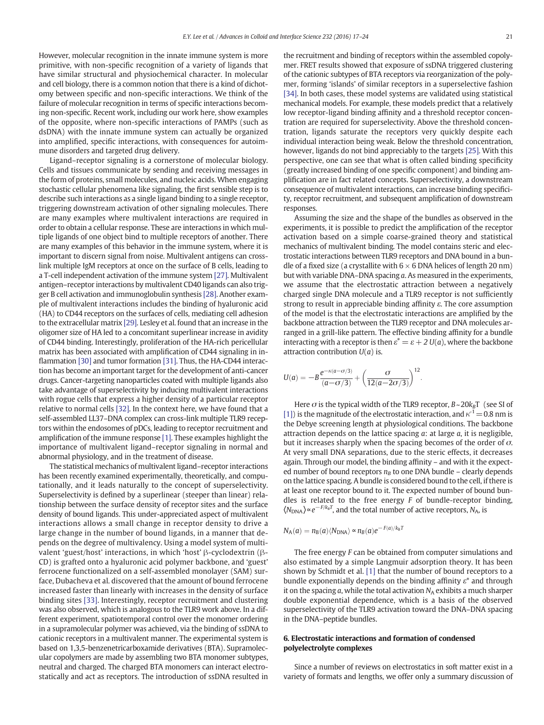However, molecular recognition in the innate immune system is more primitive, with non-specific recognition of a variety of ligands that have similar structural and physiochemical character. In molecular and cell biology, there is a common notion that there is a kind of dichotomy between specific and non-specific interactions. We think of the failure of molecular recognition in terms of specific interactions becoming non-specific. Recent work, including our work here, show examples of the opposite, where non-specific interactions of PAMPs (such as dsDNA) with the innate immune system can actually be organized into amplified, specific interactions, with consequences for autoimmune disorders and targeted drug delivery.

Ligand–receptor signaling is a cornerstone of molecular biology. Cells and tissues communicate by sending and receiving messages in the form of proteins, small molecules, and nucleic acids. When engaging stochastic cellular phenomena like signaling, the first sensible step is to describe such interactions as a single ligand binding to a single receptor, triggering downstream activation of other signaling molecules. There are many examples where multivalent interactions are required in order to obtain a cellular response. These are interactions in which multiple ligands of one object bind to multiple receptors of another. There are many examples of this behavior in the immune system, where it is important to discern signal from noise. Multivalent antigens can crosslink multiple IgM receptors at once on the surface of B cells, leading to a T-cell independent activation of the immune system [\[27\].](#page-6-0) Multivalent antigen–receptor interactions by multivalent CD40 ligands can also trigger B cell activation and immunoglobulin synthesis [\[28\].](#page-6-0) Another example of multivalent interactions includes the binding of hyaluronic acid (HA) to CD44 receptors on the surfaces of cells, mediating cell adhesion to the extracellular matrix [\[29\].](#page-6-0) Lesley et al. found that an increase in the oligomer size of HA led to a concomitant superlinear increase in avidity of CD44 binding. Interestingly, proliferation of the HA-rich pericellular matrix has been associated with amplification of CD44 signaling in in-flammation [\[30\]](#page-6-0) and tumor formation [\[31\].](#page-6-0) Thus, the HA-CD44 interaction has become an important target for the development of anti-cancer drugs. Cancer-targeting nanoparticles coated with multiple ligands also take advantage of superselectivity by inducing multivalent interactions with rogue cells that express a higher density of a particular receptor relative to normal cells [\[32\]](#page-6-0). In the context here, we have found that a self-assembled LL37–DNA complex can cross-link multiple TLR9 receptors within the endosomes of pDCs, leading to receptor recruitment and amplification of the immune response [\[1\]](#page-6-0). These examples highlight the importance of multivalent ligand–receptor signaling in normal and abnormal physiology, and in the treatment of disease.

The statistical mechanics of multivalent ligand–receptor interactions has been recently examined experimentally, theoretically, and computationally, and it leads naturally to the concept of superselectivity. Superselectivity is defined by a superlinear (steeper than linear) relationship between the surface density of receptor sites and the surface density of bound ligands. This under-appreciated aspect of multivalent interactions allows a small change in receptor density to drive a large change in the number of bound ligands, in a manner that depends on the degree of multivalency. Using a model system of multivalent 'guest/host' interactions, in which 'host' β-cyclodextrin (β-CD) is grafted onto a hyaluronic acid polymer backbone, and 'guest' ferrocene functionalized on a self-assembled monolayer (SAM) surface, Dubacheva et al. discovered that the amount of bound ferrocene increased faster than linearly with increases in the density of surface binding sites [\[33\].](#page-6-0) Interestingly, receptor recruitment and clustering was also observed, which is analogous to the TLR9 work above. In a different experiment, spatiotemporal control over the monomer ordering in a supramolecular polymer was achieved, via the binding of ssDNA to cationic receptors in a multivalent manner. The experimental system is based on 1,3,5-benzenetricarboxamide derivatives (BTA). Supramolecular copolymers are made by assembling two BTA monomer subtypes, neutral and charged. The charged BTA monomers can interact electrostatically and act as receptors. The introduction of ssDNA resulted in the recruitment and binding of receptors within the assembled copolymer. FRET results showed that exposure of ssDNA triggered clustering of the cationic subtypes of BTA receptors via reorganization of the polymer, forming 'islands' of similar receptors in a superselective fashion [\[34\]](#page-6-0). In both cases, these model systems are validated using statistical mechanical models. For example, these models predict that a relatively low receptor-ligand binding affinity and a threshold receptor concentration are required for superselectivity. Above the threshold concentration, ligands saturate the receptors very quickly despite each individual interaction being weak. Below the threshold concentration, however, ligands do not bind appreciably to the targets [\[25\]](#page-6-0). With this perspective, one can see that what is often called binding specificity (greatly increased binding of one specific component) and binding amplification are in fact related concepts. Superselectivity, a downstream consequence of multivalent interactions, can increase binding specificity, receptor recruitment, and subsequent amplification of downstream responses.

Assuming the size and the shape of the bundles as observed in the experiments, it is possible to predict the amplification of the receptor activation based on a simple coarse-grained theory and statistical mechanics of multivalent binding. The model contains steric and electrostatic interactions between TLR9 receptors and DNA bound in a bundle of a fixed size (a crystallite with  $6 \times 6$  DNA helices of length 20 nm) but with variable DNA–DNA spacing a. As measured in the experiments, we assume that the electrostatic attraction between a negatively charged single DNA molecule and a TLR9 receptor is not sufficiently strong to result in appreciable binding affinity  $\varepsilon$ . The core assumption of the model is that the electrostatic interactions are amplified by the backbone attraction between the TLR9 receptor and DNA molecules arranged in a grill-like pattern. The effective binding affinity for a bundle interacting with a receptor is then  $\varepsilon^* = \varepsilon + 2 U(a)$ , where the backbone attraction contribution  $U(a)$  is.

$$
U(a)=-B\frac{e^{-\kappa(a-\sigma/3)}}{(a-\sigma/3)}+\bigg(\frac{\sigma}{12(a-2\sigma/3)}\bigg)^{12}.
$$

Here  $\sigma$  is the typical width of the TLR9 receptor,  $B \sim 20 k_B T$  (see SI of [\[1\]](#page-6-0)) is the magnitude of the electrostatic interaction, and  $\kappa$ <sup>-1</sup> = 0.8 nm is the Debye screening length at physiological conditions. The backbone attraction depends on the lattice spacing  $a$ : at large  $a$ , it is negligible, but it increases sharply when the spacing becomes of the order of  $\sigma$ . At very small DNA separations, due to the steric effects, it decreases again. Through our model, the binding affinity – and with it the expected number of bound receptors  $n_B$  to one DNA bundle – clearly depends on the lattice spacing. A bundle is considered bound to the cell, if there is at least one receptor bound to it. The expected number of bound bundles is related to the free energy F of bundle-receptor binding,  $\langle N_{\text{DNA}}\rangle \propto e^{-F/k_B T}$ , and the total number of active receptors,  $N_{\text{A}}$ , is

$$
N_{\rm A}(a) = n_{\rm B}(a) \langle N_{\rm DNA} \rangle \propto n_{\rm B}(a) e^{-F(a)/k_{\rm B}T}
$$

The free energy F can be obtained from computer simulations and also estimated by a simple Langmuir adsorption theory. It has been shown by Schmidt et al. [\[1\]](#page-6-0) that the number of bound receptors to a bundle exponentially depends on the binding affinity  $\varepsilon^*$  and through it on the spacing  $a$ , while the total activation  $N_A$  exhibits a much sharper double exponential dependence, which is a basis of the observed superselectivity of the TLR9 activation toward the DNA–DNA spacing in the DNA–peptide bundles.

# 6. Electrostatic interactions and formation of condensed polyelectrolyte complexes

Since a number of reviews on electrostatics in soft matter exist in a variety of formats and lengths, we offer only a summary discussion of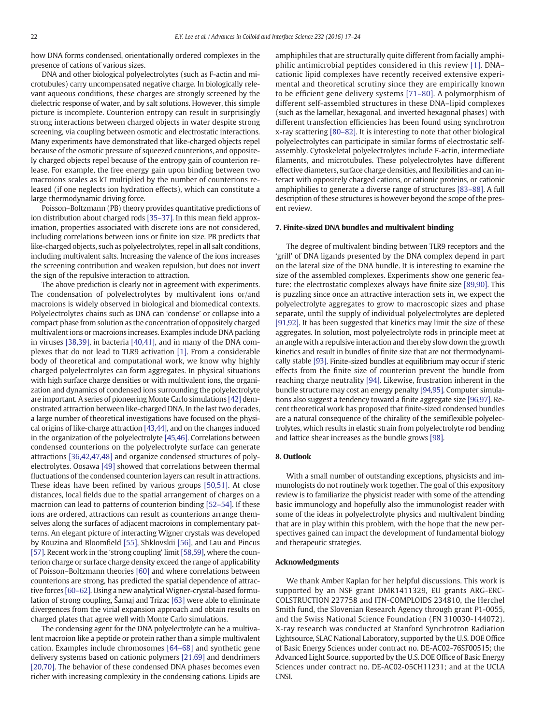how DNA forms condensed, orientationally ordered complexes in the presence of cations of various sizes.

DNA and other biological polyelectrolytes (such as F-actin and microtubules) carry uncompensated negative charge. In biologically relevant aqueous conditions, these charges are strongly screened by the dielectric response of water, and by salt solutions. However, this simple picture is incomplete. Counterion entropy can result in surprisingly strong interactions between charged objects in water despite strong screening, via coupling between osmotic and electrostatic interactions. Many experiments have demonstrated that like-charged objects repel because of the osmotic pressure of squeezed counterions, and oppositely charged objects repel because of the entropy gain of counterion release. For example, the free energy gain upon binding between two macroions scales as kT multiplied by the number of counterions released (if one neglects ion hydration effects), which can constitute a large thermodynamic driving force.

Poisson–Boltzmann (PB) theory provides quantitative predictions of ion distribution about charged rods [35–[37\].](#page-6-0) In this mean field approximation, properties associated with discrete ions are not considered, including correlations between ions or finite ion size. PB predicts that like-charged objects, such as polyelectrolytes, repel in all salt conditions, including multivalent salts. Increasing the valence of the ions increases the screening contribution and weaken repulsion, but does not invert the sign of the repulsive interaction to attraction.

The above prediction is clearly not in agreement with experiments. The condensation of polyelectrolytes by multivalent ions or/and macroions is widely observed in biological and biomedical contexts. Polyelectrolytes chains such as DNA can 'condense' or collapse into a compact phase from solution as the concentration of oppositely charged multivalent ions or macroions increases. Examples include DNA packing in viruses [\[38,39\],](#page-6-0) in bacteria [\[40,41\],](#page-6-0) and in many of the DNA complexes that do not lead to TLR9 activation [\[1\]](#page-6-0). From a considerable body of theoretical and computational work, we know why highly charged polyelectrolytes can form aggregates. In physical situations with high surface charge densities or with multivalent ions, the organization and dynamics of condensed ions surrounding the polyelectrolyte are important. A series of pioneering Monte Carlo simulations [\[42\]](#page-6-0) demonstrated attraction between like-charged DNA. In the last two decades, a large number of theoretical investigations have focused on the physical origins of like-charge attraction [\[43,44\],](#page-6-0) and on the changes induced in the organization of the polyelectrolyte [\[45,46\]](#page-6-0). Correlations between condensed counterions on the polyelectrolyte surface can generate attractions [\[36,42,47,48\]](#page-6-0) and organize condensed structures of polyelectrolytes. Oosawa [\[49\]](#page-6-0) showed that correlations between thermal fluctuations of the condensed counterion layers can result in attractions. These ideas have been refined by various groups [\[50,51\].](#page-6-0) At close distances, local fields due to the spatial arrangement of charges on a macroion can lead to patterns of counterion binding [52–[54\]](#page-6-0). If these ions are ordered, attractions can result as counterions arrange themselves along the surfaces of adjacent macroions in complementary patterns. An elegant picture of interacting Wigner crystals was developed by Rouzina and Bloomfield [\[55\]](#page-6-0), Shklovskii [\[56\]](#page-6-0), and Lau and Pincus [\[57\]](#page-6-0). Recent work in the 'strong coupling' limit [\[58,59\]](#page-6-0), where the counterion charge or surface charge density exceed the range of applicability of Poisson–Boltzmann theories [\[60\]](#page-6-0) and where correlations between counterions are strong, has predicted the spatial dependence of attractive forces [60–[62\].](#page-6-0) Using a new analytical Wigner-crystal-based formulation of strong coupling, Šamaj and Trizac [\[63\]](#page-6-0) were able to eliminate divergences from the virial expansion approach and obtain results on charged plates that agree well with Monte Carlo simulations.

The condensing agent for the DNA polyelectrolyte can be a multivalent macroion like a peptide or protein rather than a simple multivalent cation. Examples include chromosomes [64–[68\]](#page-6-0) and synthetic gene delivery systems based on cationic polymers [\[21,69\]](#page-6-0) and dendrimers [\[20,70\].](#page-6-0) The behavior of these condensed DNA phases becomes even richer with increasing complexity in the condensing cations. Lipids are amphiphiles that are structurally quite different from facially amphiphilic antimicrobial peptides considered in this review [\[1\]](#page-6-0). DNA– cationic lipid complexes have recently received extensive experimental and theoretical scrutiny since they are empirically known to be efficient gene delivery systems [71–[80\].](#page-6-0) A polymorphism of different self-assembled structures in these DNA–lipid complexes (such as the lamellar, hexagonal, and inverted hexagonal phases) with different transfection efficiencies has been found using synchrotron x-ray scattering [80–[82\].](#page-6-0) It is interesting to note that other biological polyelectrolytes can participate in similar forms of electrostatic selfassembly. Cytoskeletal polyelectrolytes include F-actin, intermediate filaments, and microtubules. These polyelectrolytes have different effective diameters, surface charge densities, and flexibilities and can interact with oppositely charged cations, or cationic proteins, or cationic amphiphilies to generate a diverse range of structures [\[83](#page-7-0)–88]. A full description of these structures is however beyond the scope of the present review.

#### 7. Finite-sized DNA bundles and multivalent binding

The degree of multivalent binding between TLR9 receptors and the 'grill' of DNA ligands presented by the DNA complex depend in part on the lateral size of the DNA bundle. It is interesting to examine the size of the assembled complexes. Experiments show one generic feature: the electrostatic complexes always have finite size [\[89,90\].](#page-7-0) This is puzzling since once an attractive interaction sets in, we expect the polyelectrolyte aggregates to grow to macroscopic sizes and phase separate, until the supply of individual polyelectrolytes are depleted [\[91,92\]](#page-7-0). It has been suggested that kinetics may limit the size of these aggregates. In solution, most polyelectrolyte rods in principle meet at an angle with a repulsive interaction and thereby slow down the growth kinetics and result in bundles of finite size that are not thermodynamically stable [\[93\].](#page-7-0) Finite-sized bundles at equilibrium may occur if steric effects from the finite size of counterion prevent the bundle from reaching charge neutrality [\[94\].](#page-7-0) Likewise, frustration inherent in the bundle structure may cost an energy penalty [\[94,95\]](#page-7-0). Computer simulations also suggest a tendency toward a finite aggregate size [\[96,97\].](#page-7-0) Recent theoretical work has proposed that finite-sized condensed bundles are a natural consequence of the chirality of the semiflexible polyelectrolytes, which results in elastic strain from polyelectrolyte rod bending and lattice shear increases as the bundle grows [\[98\]](#page-7-0).

# 8. Outlook

With a small number of outstanding exceptions, physicists and immunologists do not routinely work together. The goal of this expository review is to familiarize the physicist reader with some of the attending basic immunology and hopefully also the immunologist reader with some of the ideas in polyelectrolyte physics and multivalent binding that are in play within this problem, with the hope that the new perspectives gained can impact the development of fundamental biology and therapeutic strategies.

#### Acknowledgments

We thank Amber Kaplan for her helpful discussions. This work is supported by an NSF grant DMR1411329, EU grants ARG-ERC-COLSTRUCTION 227758 and ITN-COMPLOIDS 234810, the Herchel Smith fund, the Slovenian Research Agency through grant P1-0055, and the Swiss National Science Foundation (FN 310030-144072). X-ray research was conducted at Stanford Synchrotron Radiation Lightsource, SLAC National Laboratory, supported by the U.S. DOE Office of Basic Energy Sciences under contract no. DE-AC02-76SF00515; the Advanced Light Source, supported by the U.S. DOE Office of Basic Energy Sciences under contract no. DE-AC02-05CH11231; and at the UCLA CNSI.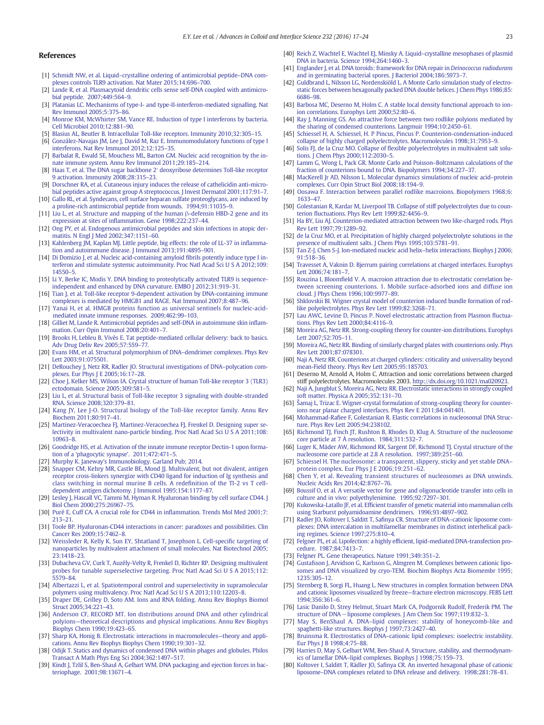#### <span id="page-6-0"></span>References

- [1] Schmidt NW, et al. Liquid–[crystalline ordering of antimicrobial peptide](http://refhub.elsevier.com/S0001-8686(16)30047-1/rf0005)–DNA com[plexes controls TLR9 activation. Nat Mater 2015;14:696](http://refhub.elsevier.com/S0001-8686(16)30047-1/rf0005)–700.
- [2] [Lande R, et al. Plasmacytoid dendritic cells sense self-DNA coupled with antimicro](http://refhub.elsevier.com/S0001-8686(16)30047-1/rf0010)[bial peptide. 2007;449:564](http://refhub.elsevier.com/S0001-8686(16)30047-1/rf0010)–9.
- [3] [Platanias LC. Mechanisms of type-I- and type-II-interferon-mediated signalling. Nat](http://refhub.elsevier.com/S0001-8686(16)30047-1/rf0015) [Rev Immunol 2005;5:375](http://refhub.elsevier.com/S0001-8686(16)30047-1/rf0015)–86.
- [4] [Monroe KM, McWhirter SM, Vance RE. Induction of type I interferons by bacteria.](http://refhub.elsevier.com/S0001-8686(16)30047-1/rf0020) [Cell Microbiol 2010;12:881](http://refhub.elsevier.com/S0001-8686(16)30047-1/rf0020)–90.
- [Blasius AL, Beutler B. Intracellular Toll-like receptors. Immunity 2010;32:305](http://refhub.elsevier.com/S0001-8686(16)30047-1/rf0025)–15. [6] [González-Navajas JM, Lee J, David M, Raz E. Immunomodulatory functions of type I](http://refhub.elsevier.com/S0001-8686(16)30047-1/rf0030)
- [interferons. Nat Rev Immunol 2012;12:125](http://refhub.elsevier.com/S0001-8686(16)30047-1/rf0030)–35. [7] [Barbalat R, Ewald SE, Mouchess ML, Barton GM. Nucleic acid recognition by the in](http://refhub.elsevier.com/S0001-8686(16)30047-1/rf0035)[nate immune system. Annu Rev Immunol 2011;29:185](http://refhub.elsevier.com/S0001-8686(16)30047-1/rf0035)–214.
- [8] Haas T, et al. The DNA sugar backbone 2′ [deoxyribose determines Toll-like receptor](http://refhub.elsevier.com/S0001-8686(16)30047-1/rf0040) [9 activation. Immunity 2008;28:315](http://refhub.elsevier.com/S0001-8686(16)30047-1/rf0040)–23.
- [9] [Dorschner RA, et al. Cutaneous injury induces the release of cathelicidin anti-micro](http://refhub.elsevier.com/S0001-8686(16)30047-1/rf0045)[bial peptides active against group A streptococcus. J Invest Dermatol 2001;117:91](http://refhub.elsevier.com/S0001-8686(16)30047-1/rf0045)–7.
- [10] [Gallo RL, et al. Syndecans, cell surface heparan sulfate proteoglycans, are induced by](http://refhub.elsevier.com/S0001-8686(16)30047-1/rf0050) [a proline-rich antimicrobial peptide from wounds. 1994;91:11035](http://refhub.elsevier.com/S0001-8686(16)30047-1/rf0050)–9.
- [11] [Liu L, et al. Structure and mapping of the human](http://refhub.elsevier.com/S0001-8686(16)30047-1/rf0055) β-defensin HBD-2 gene and its expression at sites of infl[ammation. Gene 1998;222:237](http://refhub.elsevier.com/S0001-8686(16)30047-1/rf0055)–44.
- [12] [Ong PY, et al. Endogenous antimicrobial peptides and skin infections in atopic der](http://refhub.elsevier.com/S0001-8686(16)30047-1/rf0060)[matitis. N Engl J Med 2002;347:1151](http://refhub.elsevier.com/S0001-8686(16)30047-1/rf0060)–60.
- [13] [Kahlenberg JM, Kaplan MJ. Little peptide, big effects: the role of LL-37 in in](http://refhub.elsevier.com/S0001-8686(16)30047-1/rf0065)flamma[tion and autoimmune disease. J Immunol 2013;191:4895](http://refhub.elsevier.com/S0001-8686(16)30047-1/rf0065)–901.
- [14] [Di Domizio J, et al. Nucleic acid-containing amyloid](http://refhub.elsevier.com/S0001-8686(16)30047-1/rf0070) fibrils potently induce type I in[terferon and stimulate systemic autoimmunity. Proc Natl Acad Sci U S A 2012;109:](http://refhub.elsevier.com/S0001-8686(16)30047-1/rf0070) [14550](http://refhub.elsevier.com/S0001-8686(16)30047-1/rf0070)–5.
- [15] [Li Y, Berke IC, Modis Y. DNA binding to proteolytically activated TLR9 is sequence](http://refhub.elsevier.com/S0001-8686(16)30047-1/rf0075)[independent and enhanced by DNA curvature. EMBO J 2012;31:919](http://refhub.elsevier.com/S0001-8686(16)30047-1/rf0075)–31.
- [16] [Tian J, et al. Toll-like receptor 9-dependent activation by DNA-containing immune](http://refhub.elsevier.com/S0001-8686(16)30047-1/rf0080) [complexes is mediated by HMGB1 and RAGE. Nat Immunol 2007;8:487](http://refhub.elsevier.com/S0001-8686(16)30047-1/rf0080)–96.
- [17] [Yanai H, et al. HMGB proteins function as universal sentinels for nucleic-acid](http://refhub.elsevier.com/S0001-8686(16)30047-1/rf0085)[mediated innate immune responses. 2009;462:99](http://refhub.elsevier.com/S0001-8686(16)30047-1/rf0085)–103.
- [18] [Gilliet M, Lande R. Antimicrobial peptides and self-DNA in autoimmune skin in](http://refhub.elsevier.com/S0001-8686(16)30047-1/rf0090)flam[mation. Curr Opin Immunol 2008;20:401](http://refhub.elsevier.com/S0001-8686(16)30047-1/rf0090)–7.
- [19] [Brooks H, Lebleu B, Vivès E. Tat peptide-mediated cellular delivery: back to basics.](http://refhub.elsevier.com/S0001-8686(16)30047-1/rf0095) [Adv Drug Deliv Rev 2005;57:559](http://refhub.elsevier.com/S0001-8686(16)30047-1/rf0095)–77.
- [20] [Evans HM, et al. Structural polymorphism of DNA](http://refhub.elsevier.com/S0001-8686(16)30047-1/rf0100)-dendrimer complexes. Phys Rev [Lett 2003;91:075501.](http://refhub.elsevier.com/S0001-8686(16)30047-1/rf0100)
- [21] [DeRouchey J, Netz RR, Radler JO. Structural investigations of DNA](http://refhub.elsevier.com/S0001-8686(16)30047-1/rf0105)–polycation com[plexes. Eur Phys J E 2005;16:17](http://refhub.elsevier.com/S0001-8686(16)30047-1/rf0105)–28.
- [22] [Choe J, Kelker MS, Wilson IA. Crystal structure of human Toll-like receptor 3 \(TLR3\)](http://refhub.elsevier.com/S0001-8686(16)30047-1/rf0110) [ectodomain. Science 2005;309:581](http://refhub.elsevier.com/S0001-8686(16)30047-1/rf0110)–5.
- [23] [Liu L, et al. Structural basis of Toll-like receptor 3 signaling with double-stranded](http://refhub.elsevier.com/S0001-8686(16)30047-1/rf0115) [RNA. Science 2008;320:379](http://refhub.elsevier.com/S0001-8686(16)30047-1/rf0115)–81.
- [24] [Kang JY, Lee J-O. Structural biology of the Toll-like receptor family. Annu Rev](http://refhub.elsevier.com/S0001-8686(16)30047-1/rf0120) [Biochem 2011;80:917](http://refhub.elsevier.com/S0001-8686(16)30047-1/rf0120)–41.
- [25] [Martinez-Veracoechea FJ, Martinez-Veracoechea FJ, Frenkel D. Designing super se](http://refhub.elsevier.com/S0001-8686(16)30047-1/rf0125)[lectivity in multivalent nano-particle binding. Proc Natl Acad Sci U S A 2011;108:](http://refhub.elsevier.com/S0001-8686(16)30047-1/rf0125) [10963](http://refhub.elsevier.com/S0001-8686(16)30047-1/rf0125)–8.
- [26] [Goodridge HS, et al. Activation of the innate immune receptor Dectin-1 upon forma](http://refhub.elsevier.com/S0001-8686(16)30047-1/rf0130)tion of a '[phagocytic synapse](http://refhub.elsevier.com/S0001-8686(16)30047-1/rf0130)'. 2011;472:471-5.
- [27] [Murphy K. Janeway's Immunobiology. Garland Pub; 2014.](http://refhub.elsevier.com/S0001-8686(16)30047-1/rf0135)
- [28] [Snapper CM, Kehry MR, Castle BE, Mond JJ. Multivalent, but not divalent, antigen](http://refhub.elsevier.com/S0001-8686(16)30047-1/rf0140) [receptor cross-linkers synergize with CD40 ligand for induction of Ig synthesis and](http://refhub.elsevier.com/S0001-8686(16)30047-1/rf0140) [class switching in normal murine B cells. A rede](http://refhub.elsevier.com/S0001-8686(16)30047-1/rf0140)finition of the TI-2 vs T cell[dependent antigen dichotomy. J Immunol 1995;154:1177](http://refhub.elsevier.com/S0001-8686(16)30047-1/rf0140)–87.
- [29] [Lesley J, Hascall VC, Tammi M, Hyman R. Hyaluronan binding by cell surface CD44. J](http://refhub.elsevier.com/S0001-8686(16)30047-1/rf0145) [Biol Chem 2000;275:26967](http://refhub.elsevier.com/S0001-8686(16)30047-1/rf0145)–75.
- [30] [Puré E, Cuff CA. A crucial role for CD44 in in](http://refhub.elsevier.com/S0001-8686(16)30047-1/rf0150)flammation. Trends Mol Med 2001;7: [213](http://refhub.elsevier.com/S0001-8686(16)30047-1/rf0150)–21.
- [31] [Toole BP. Hyaluronan-CD44 interactions in cancer: paradoxes and possibilities. Clin](http://refhub.elsevier.com/S0001-8686(16)30047-1/rf0155) [Cancer Res 2009;15:7462](http://refhub.elsevier.com/S0001-8686(16)30047-1/rf0155)–8.
- [32] [Weissleder R, Kelly K, Sun EY, Shtatland T, Josephson L. Cell-speci](http://refhub.elsevier.com/S0001-8686(16)30047-1/rf0160)fic targeting of [nanoparticles by multivalent attachment of small molecules. Nat Biotechnol 2005;](http://refhub.elsevier.com/S0001-8686(16)30047-1/rf0160) [23:1418](http://refhub.elsevier.com/S0001-8686(16)30047-1/rf0160)–23.
- [33] [Dubacheva GV, Curk T, Auzély-Velty R, Frenkel D, Richter RP. Designing multivalent](http://refhub.elsevier.com/S0001-8686(16)30047-1/rf0165) [probes for tunable superselective targeting. Proc Natl Acad Sci U S A 2015;112:](http://refhub.elsevier.com/S0001-8686(16)30047-1/rf0165) [5579](http://refhub.elsevier.com/S0001-8686(16)30047-1/rf0165)–84.
- [34] [Albertazzi L, et al. Spatiotemporal control and superselectivity in supramolecular](http://refhub.elsevier.com/S0001-8686(16)30047-1/rf0170) [polymers using multivalency. Proc Natl Acad Sci U S A 2013;110:12203](http://refhub.elsevier.com/S0001-8686(16)30047-1/rf0170)–8.
- [35] [Draper DE, Grilley D, Soto AM. Ions and RNA folding. Annu Rev Biophys Biomol](http://refhub.elsevier.com/S0001-8686(16)30047-1/rf0175) [Struct 2005;34:221](http://refhub.elsevier.com/S0001-8686(16)30047-1/rf0175)–43.
- [36] [Anderson CF, RECORD MT. Ion distributions around DNA and other cylindrical](http://refhub.elsevier.com/S0001-8686(16)30047-1/rf0180) polyions—[theoretical descriptions and physical implications. Annu Rev Biophys](http://refhub.elsevier.com/S0001-8686(16)30047-1/rf0180) [Biophys Chem 1990;19:423](http://refhub.elsevier.com/S0001-8686(16)30047-1/rf0180)–65.
- [37] [Sharp KA, Honig B. Electrostatic interactions in macromolecules](http://refhub.elsevier.com/S0001-8686(16)30047-1/rf0185)—theory and appli[cations. Annu Rev Biophys Biophys Chem 1990;19:301](http://refhub.elsevier.com/S0001-8686(16)30047-1/rf0185)–32.
- [38] [Odijk T. Statics and dynamics of condensed DNA within phages and globules. Philos](http://refhub.elsevier.com/S0001-8686(16)30047-1/rf0190) [Transact A Math Phys Eng Sci 2004;362:1497](http://refhub.elsevier.com/S0001-8686(16)30047-1/rf0190)–517.
- [39] [Kindt J, Tzlil S, Ben-Shaul A, Gelbart WM. DNA packaging and ejection forces in bac](http://refhub.elsevier.com/S0001-8686(16)30047-1/rf0195)[teriophage. 2001;98:13671](http://refhub.elsevier.com/S0001-8686(16)30047-1/rf0195)–4.
- [40] [Reich Z, Wachtel E, Wachtel EJ, Minsky A. Liquid](http://refhub.elsevier.com/S0001-8686(16)30047-1/rf0200)-crystalline mesophases of plasmid [DNA in bacteria. Science 1994;264:1460](http://refhub.elsevier.com/S0001-8686(16)30047-1/rf0200)–3.
- [41] [Englander J, et al. DNA toroids: framework for DNA repair in](http://refhub.elsevier.com/S0001-8686(16)30047-1/rf0205) Deinococcus radiodurans [and in germinating bacterial spores. J Bacteriol 2004;186:5973](http://refhub.elsevier.com/S0001-8686(16)30047-1/rf0205)–7.
- [42] Guldbrand L, Nilsson LG, Nordenskiöld L, A Monte Carlo simulation study of electro[static forces between hexagonally packed DNA double helices. J Chem Phys 1986;85:](http://refhub.elsevier.com/S0001-8686(16)30047-1/rf0210) [6686](http://refhub.elsevier.com/S0001-8686(16)30047-1/rf0210)–98.
- [43] [Barbosa MC, Deserno M, Holm C. A stable local density functional approach to ion](http://refhub.elsevier.com/S0001-8686(16)30047-1/rf0215)[ion correlations. Europhys Lett 2000;52:80](http://refhub.elsevier.com/S0001-8686(16)30047-1/rf0215)–6.
- [44] [Ray J, Manning GS. An attractive force between two rodlike polyions mediated by](http://refhub.elsevier.com/S0001-8686(16)30047-1/rf0220) [the sharing of condensed counterions. Langmuir 1994;10:2450](http://refhub.elsevier.com/S0001-8686(16)30047-1/rf0220)–61.
- [45] [Schiessel H, A. Schiessel, H. P Pincus, Pincus P. Counterion-condensation-induced](http://refhub.elsevier.com/S0001-8686(16)30047-1/rf0225) [collapse of highly charged polyelectrolytes. Macromolecules 1998;31:7953](http://refhub.elsevier.com/S0001-8686(16)30047-1/rf0225)–9.
- [46] Solis FJ, de la Cruz MO. Collapse of fl[exible polyelectrolytes in multivalent salt solu](http://refhub.elsevier.com/S0001-8686(16)30047-1/rf0230)[tions. J Chem Phys 2000;112:2030](http://refhub.elsevier.com/S0001-8686(16)30047-1/rf0230)–5.
- [47] [Lamm G, Wong L, Pack GR. Monte Carlo and Poisson](http://refhub.elsevier.com/S0001-8686(16)30047-1/rf0235)–Boltzmann calculations of the [fraction of counterions bound to DNA. Biopolymers 1994;34:227](http://refhub.elsevier.com/S0001-8686(16)30047-1/rf0235)–37.
- [48] [MacKerell Jr AD, Nilsson L. Molecular dynamics simulations of nucleic acid](http://refhub.elsevier.com/S0001-8686(16)30047-1/rf0240)–protein [complexes. Curr Opin Struct Biol 2008;18:194](http://refhub.elsevier.com/S0001-8686(16)30047-1/rf0240)–9.
- [49] [Oosawa F. Interaction between parallel rodlike macroions. Biopolymers 1968;6:](http://refhub.elsevier.com/S0001-8686(16)30047-1/rf0245) [1633](http://refhub.elsevier.com/S0001-8686(16)30047-1/rf0245)–47.
- [50] [Golestanian R, Kardar M, Liverpool TB. Collapse of stiff polyelectrolytes due to coun](http://refhub.elsevier.com/S0001-8686(16)30047-1/rf0250)terion fl[uctuations. Phys Rev Lett 1999;82:4456](http://refhub.elsevier.com/S0001-8686(16)30047-1/rf0250)–9.
- [51] [Ha BY, Liu AJ. Counterion-mediated attraction between two like-charged rods. Phys](http://refhub.elsevier.com/S0001-8686(16)30047-1/rf0255) [Rev Lett 1997;79:1289](http://refhub.elsevier.com/S0001-8686(16)30047-1/rf0255)–92.
- [52] [de la Cruz MO, et al. Precipitation of highly charged polyelectrolyte solutions in the](http://refhub.elsevier.com/S0001-8686(16)30047-1/rf0260) [presence of multivalent salts. J Chem Phys 1995;103:5781](http://refhub.elsevier.com/S0001-8686(16)30047-1/rf0260)–91.
- [53] [Tan Z-J, Chen S-J. Ion-mediated nucleic acid helix](http://refhub.elsevier.com/S0001-8686(16)30047-1/rf0265)–helix interactions. Biophys J 2006; [91:518](http://refhub.elsevier.com/S0001-8686(16)30047-1/rf0265)–36.
- [54] [Travesset A, Vaknin D. Bjerrum pairing correlations at charged interfaces. Europhys](http://refhub.elsevier.com/S0001-8686(16)30047-1/rf0270) [Lett 2006;74:181](http://refhub.elsevier.com/S0001-8686(16)30047-1/rf0270)-7
- [55] Rouzina I, Bloomfi[eld V. A. macroion attraction due to electrostatic correlation be](http://refhub.elsevier.com/S0001-8686(16)30047-1/rf0275)[tween screening counterions. 1. Mobile surface-adsorbed ions and diffuse ion](http://refhub.elsevier.com/S0001-8686(16)30047-1/rf0275) [cloud. J Phys Chem 1996;100:9977](http://refhub.elsevier.com/S0001-8686(16)30047-1/rf0275)–89.
- [56] [Shklovskii BI. Wigner crystal model of counterion induced bundle formation of rod](http://refhub.elsevier.com/S0001-8686(16)30047-1/rf0280)[like polyelectrolytes. Phys Rev Lett 1999;82:3268](http://refhub.elsevier.com/S0001-8686(16)30047-1/rf0280)–71.
- [57] [Lau AWC, Levine D, Pincus P. Novel electrostatic attraction from Plasmon](http://refhub.elsevier.com/S0001-8686(16)30047-1/rf0285) fluctua[tions. Phys Rev Lett 2000;84:4116](http://refhub.elsevier.com/S0001-8686(16)30047-1/rf0285)–9.
- [58] [Moreira AG, Netz RR. Strong-coupling theory for counter-ion distributions. Europhys](http://refhub.elsevier.com/S0001-8686(16)30047-1/rf0290) [Lett 2007;52:705](http://refhub.elsevier.com/S0001-8686(16)30047-1/rf0290)–11.
- [59] [Moreira AG, Netz RR. Binding of similarly charged plates with counterions only. Phys](http://refhub.elsevier.com/S0001-8686(16)30047-1/rf0295) [Rev Lett 2001;87:078301.](http://refhub.elsevier.com/S0001-8686(16)30047-1/rf0295)
- [60] [Naji A, Netz RR. Counterions at charged cylinders: criticality and universality beyond](http://refhub.elsevier.com/S0001-8686(16)30047-1/rf0300) [mean-Field theory. Phys Rev Lett 2005;95:185703.](http://refhub.elsevier.com/S0001-8686(16)30047-1/rf0300)
- [61] Deserno M, Arnold A, Holm C. Attraction and ionic correlations between charged stiff polyelectrolytes. Macromolecules 2003. [http://dx.doi.org/10.1021/ma020923.](http://dx.doi.org/10.1021/ma020923)
- [62] [Naji A, Jungblut S, Moreira AG, Netz RR. Electrostatic interactions in strongly coupled](http://refhub.elsevier.com/S0001-8686(16)30047-1/rf0310) [soft matter. Physica A 2005;352:131](http://refhub.elsevier.com/S0001-8686(16)30047-1/rf0310)–70.
- [63] Š[amaj L, Trizac E. Wigner-crystal formulation of strong-coupling theory for counter](http://refhub.elsevier.com/S0001-8686(16)30047-1/rf0315)[ions near planar charged interfaces. Phys Rev E 2011;84:041401.](http://refhub.elsevier.com/S0001-8686(16)30047-1/rf0315)
- [64] Mohammad-Rafi[ee F, Golestanian R. Elastic correlations in nucleosomal DNA Struc](http://refhub.elsevier.com/S0001-8686(16)30047-1/rf0320)[ture. Phys Rev Lett 2005;94:238102.](http://refhub.elsevier.com/S0001-8686(16)30047-1/rf0320)
- [65] [Richmond TJ, Finch JT, Rushton B, Rhodes D, Klug A. Structure of the nucleosome](http://refhub.elsevier.com/S0001-8686(16)30047-1/rf0325) [core particle at 7 Å resolution. 1984;311:532](http://refhub.elsevier.com/S0001-8686(16)30047-1/rf0325)–7.
- [66] [Luger K, Mäder AW, Richmond RK, Sargent DF, Richmond TJ. Crystal structure of the](http://refhub.elsevier.com/S0001-8686(16)30047-1/rf0330) [nucleosome core particle at 2.8 A resolution. 1997;389:251](http://refhub.elsevier.com/S0001-8686(16)30047-1/rf0330)–60.
- [67] [Schiessel H. The nucleosome: a transparent, slippery, sticky and yet stable DNA](http://refhub.elsevier.com/S0001-8686(16)30047-1/rf0335) [protein complex. Eur Phys J E 2006;19:251](http://refhub.elsevier.com/S0001-8686(16)30047-1/rf0335)–62.
- [68] [Chen Y, et al. Revealing transient structures of nucleosomes as DNA unwinds.](http://refhub.elsevier.com/S0001-8686(16)30047-1/rf0340) [Nucleic Acids Res 2014;42:8767](http://refhub.elsevier.com/S0001-8686(16)30047-1/rf0340)–76.
- [69] [Boussif O, et al. A versatile vector for gene and oligonucleotide transfer into cells in](http://refhub.elsevier.com/S0001-8686(16)30047-1/rf0345) [culture and in vivo: polyethylenimine. 1995;92:7297](http://refhub.elsevier.com/S0001-8686(16)30047-1/rf0345)–301.
- [70] Kukowska-Latallo JF, et al. Effi[cient transfer of genetic material into mammalian cells](http://refhub.elsevier.com/S0001-8686(16)30047-1/rf0350) [using Starburst polyamidoamine dendrimers. 1996;93:4897](http://refhub.elsevier.com/S0001-8686(16)30047-1/rf0350)–902.
- [71] [Radler JO, Koltover I, Salditt T, Sa](http://refhub.elsevier.com/S0001-8686(16)30047-1/rf0355)finya CR. Structure of DNA–cationic liposome com[plexes: DNA intercalation in multilamellar membranes in distinct interhelical pack](http://refhub.elsevier.com/S0001-8686(16)30047-1/rf0355)[ing regimes. Science 1997;275:810](http://refhub.elsevier.com/S0001-8686(16)30047-1/rf0355)–4.
- [72] Felgner PL, et al. Lipofection: a highly effi[cient, lipid-mediated DNA-transfection pro](http://refhub.elsevier.com/S0001-8686(16)30047-1/rf0360)[cedure. 1987;84:7413](http://refhub.elsevier.com/S0001-8686(16)30047-1/rf0360)–7.
- [73] [Felgner PL. Gene therapeutics. Nature 1991;349:351](http://refhub.elsevier.com/S0001-8686(16)30047-1/rf0365)–2.
- [74] [Gustafsson J, Arvidson G, Karlsson G, Almgren M. Complexes between cationic lipo](http://refhub.elsevier.com/S0001-8686(16)30047-1/rf0370)[somes and DNA visualized by cryo-TEM. Biochim Biophys Acta Biomembr 1995;](http://refhub.elsevier.com/S0001-8686(16)30047-1/rf0370) [1235:305](http://refhub.elsevier.com/S0001-8686(16)30047-1/rf0370)–12.
- [75] [Sternberg B, Sorgi FL, Huang L. New structures in complex formation between DNA](http://refhub.elsevier.com/S0001-8686(16)30047-1/rf0375) [and cationic liposomes visualized by freeze](http://refhub.elsevier.com/S0001-8686(16)30047-1/rf0375)—fracture electron microscopy. FEBS Lett [1994;356:361](http://refhub.elsevier.com/S0001-8686(16)30047-1/rf0375)–6.
- [76] [Lasic Danilo D, Strey Helmut, Stuart Mark CA, Podgornik Rudolf, Frederik PM. The](http://refhub.elsevier.com/S0001-8686(16)30047-1/rf0380) [structure of DNA](http://refhub.elsevier.com/S0001-8686(16)30047-1/rf0380)−[liposome complexes. J Am Chem Soc 1997;119:832](http://refhub.elsevier.com/S0001-8686(16)30047-1/rf0380)–3.
- [77] May S, BenShaul A. DNA-[lipid complexes: stability of honeycomb-like and](http://refhub.elsevier.com/S0001-8686(16)30047-1/rf0385) [spaghetti-like structures. Biophys J 1997;73:2427](http://refhub.elsevier.com/S0001-8686(16)30047-1/rf0385)–40.
- [78] Bruinsma R. Electrostatics of DNA–[cationic lipid complexes: isoelectric instability.](http://refhub.elsevier.com/S0001-8686(16)30047-1/rf0390) [Eur Phys J B 1998;4:75](http://refhub.elsevier.com/S0001-8686(16)30047-1/rf0390)–88.
- [79] [Harries D, May S, Gelbart WM, Ben-Shaul A. Structure, stability, and thermodynam](http://refhub.elsevier.com/S0001-8686(16)30047-1/rf0395)ics of lamellar DNA–[lipid complexes. Biophys J 1998;75:159](http://refhub.elsevier.com/S0001-8686(16)30047-1/rf0395)–73.
- [80] Koltover I, Salditt T, Rädler JO, Safi[nya CR. An inverted hexagonal phase of cationic](http://refhub.elsevier.com/S0001-8686(16)30047-1/rf0400) liposome–[DNA complexes related to DNA release and delivery. 1998;281:78](http://refhub.elsevier.com/S0001-8686(16)30047-1/rf0400)–81.